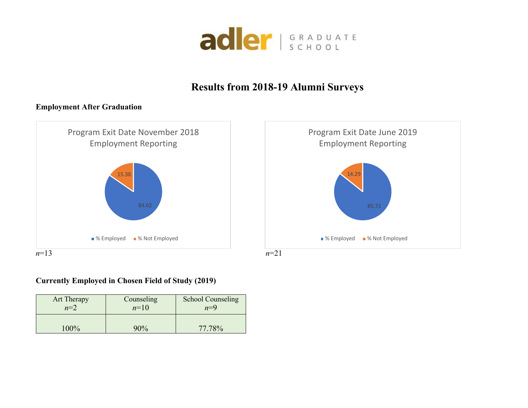

## **Results from 2018-19 Alumni Surveys**

## **Employment After Graduation**



## **Currently Employed in Chosen Field of Study (2019)**

| <b>Art Therapy</b> | Counseling | <b>School Counseling</b> |  |  |
|--------------------|------------|--------------------------|--|--|
| $n=2$              | $n=10$     | $n=9$                    |  |  |
| $00\%$             | $90\%$     | 77 78 <sup>%</sup>       |  |  |